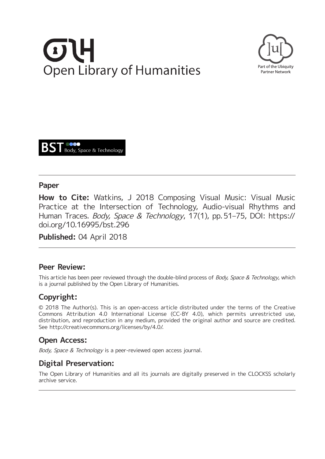# **Open Library of Humanities**





# **Paper**

**How to Cite:** Watkins, J 2018 Composing Visual Music: Visual Music Practice at the Intersection of Technology, Audio-visual Rhythms and Human Traces. Body, Space & Technology, 17(1), pp. 51–75, DOI: [https://](https://doi.org/10.16995/bst.296) [doi.org/10.16995/bst.296](https://doi.org/10.16995/bst.296)

**Published:** 04 April 2018

# **Peer Review:**

This article has been peer reviewed through the double-blind process of Body, Space & Technology, which is a journal published by the Open Library of Humanities.

# **Copyright:**

© 2018 The Author(s). This is an open-access article distributed under the terms of the Creative Commons Attribution 4.0 International License (CC-BY 4.0), which permits unrestricted use, distribution, and reproduction in any medium, provided the original author and source are credited. See [http://creativecommons.org/licenses/by/4.0/.](http://creativecommons.org/licenses/by/4.0/)

# **Open Access:**

Body, Space & Technology is a peer-reviewed open access journal.

# **Digital Preservation:**

The Open Library of Humanities and all its journals are digitally preserved in the CLOCKSS scholarly archive service.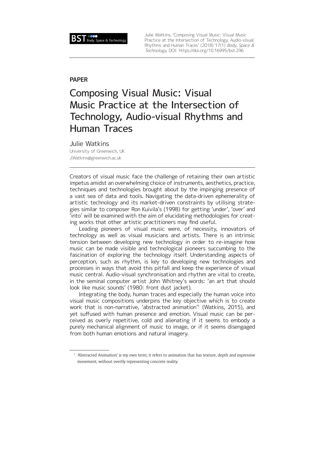

Julie Watkins, 'Composing Visual Music: Visual Music Practice at the Intersection of Technology, Audio-visual Rhythms and Human Traces' (2018) 17(1) Body, Space & Technology, DOI: <https://doi.org/10.16995/bst.296>

### **PAPER**

# Composing Visual Music: Visual Music Practice at the Intersection of Technology, Audio-visual Rhythms and Human Traces

### Julie Watkins

University of Greenwich, UK [J.Watkins@greenwich.ac.uk](mailto:J.Watkins@greenwich.ac.uk)

Creators of visual music face the challenge of retaining their own artistic impetus amidst an overwhelming choice of instruments, aesthetics, practice, techniques and technologies brought about by the impinging presence of a vast sea of data and tools. Navigating the data-driven ephemerality of artistic technology and its market-driven constraints by utilising strategies similar to composer Ron Kuivila's (1998) for getting 'under', 'over' and 'into' will be examined with the aim of elucidating methodologies for creating works that other artistic practitioners may find useful.

Leading pioneers of visual music were, of necessity, innovators of technology as well as visual musicians and artists. There is an intrinsic tension between developing new technology in order to re-imagine how music can be made visible and technological pioneers succumbing to the fascination of exploring the technology itself. Understanding aspects of perception, such as rhythm, is key to developing new technologies and processes in ways that avoid this pitfall and keep the experience of visual music central. Audio-visual synchronisation and rhythm are vital to create, in the seminal computer artist John Whitney's words: 'an art that should look like music sounds' (1980: front dust jacket).

Integrating the body, human traces and especially the human voice into visual music compositions underpins the key objective which is to create work that is non-narrative, 'abstracted animation'1 (Watkins, 2015), and yet suffused with human presence and emotion. Visual music can be perceived as overly repetitive, cold and alienating if it seems to embody a purely mechanical alignment of music to image, or if it seems disengaged from both human emotions and natural imagery.

<sup>&</sup>lt;sup>1</sup> 'Abstracted Animation' is my own term; it refers to animation that has texture, depth and expressive movement, without overtly representing concrete reality.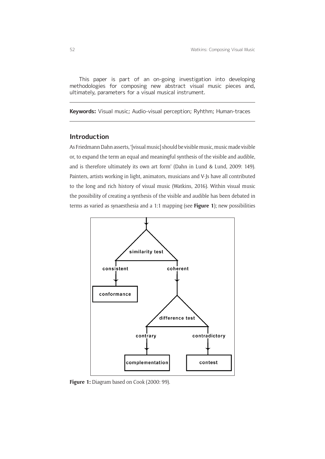This paper is part of an on-going investigation into developing methodologies for composing new abstract visual music pieces and, ultimately, parameters for a visual musical instrument.

**Keywords:** Visual music; Audio-visual perception; Ryhthm; Human-traces

### **Introduction**

As Friedmann Dahn asserts, '[visual music] should be visible music, music made visible or, to expand the term an equal and meaningful synthesis of the visible and audible, and is therefore ultimately its own art form' (Dahn in Lund & Lund, 2009: 149). Painters, artists working in light, animators, musicians and V-Js have all contributed to the long and rich history of visual music (Watkins, 2016). Within visual music the possibility of creating a synthesis of the visible and audible has been debated in terms as varied as synaesthesia and a 1:1 mapping (see **Figure 1**); new possibilities



**Figure 1:** Diagram based on Cook (2000: 99).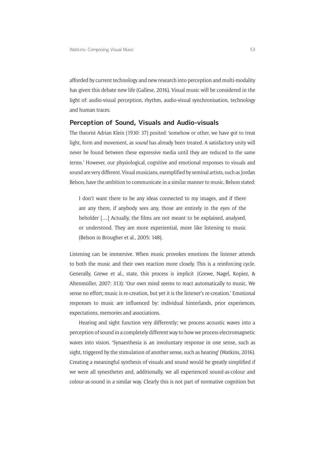afforded by current technology and new research into perception and multi-modality has given this debate new life (Gallese, 2016). Visual music will be considered in the light of: audio-visual perception, rhythm, audio-visual synchronisation, technology and human traces.

### **Perception of Sound, Visuals and Audio-visuals**

The theorist Adrian Klein (1930: 37) posited: 'somehow or other, we have got to treat light, form and movement, as *sound* has already been treated. A satisfactory unity will never be found between these expressive media until they are reduced to the same terms.' However, our physiological, cognitive and emotional responses to visuals and sound are very different. Visual musicians, exemplified by seminal artists, such as Jordan Belson, have the ambition to communicate in a similar manner to music. Belson stated:

I don't want there to be any ideas connected to my images, and if there are any there, if anybody sees any, those are entirely in the eyes of the beholder […] Actually, the films are not meant to be explained, analysed, or understood. They are more experiential, more like listening to music (Belson in Brougher et al., 2005: 148).

Listening can be immersive. When music provokes emotions the listener attends to both the music and their own reaction more closely. This is a reinforcing cycle. Generally, Grewe et al., state, this process is implicit (Grewe, Nagel, Kopiez, & Altenmüller, 2007: 313): 'Our own mind seems to react automatically to music. We sense no effort; music is re-creation, but yet it is the listener's re-creation.' Emotional responses to music are influenced by: individual hinterlands, prior experiences, expectations, memories and associations.

Hearing and sight function very differently; we process acoustic waves into a perception of sound in a completely different way to how we process electromagnetic waves into vision. 'Synaesthesia is an involuntary response in one sense, such as sight, triggered by the stimulation of another sense, such as hearing' (Watkins, 2016). Creating a meaningful synthesis of visuals and sound would be greatly simplified if we were all synesthetes and, additionally, we all experienced sound-as-colour and colour-as-sound in a similar way. Clearly this is not part of normative cognition but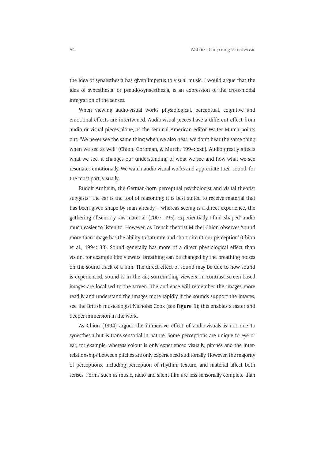the idea of synaesthesia has given impetus to visual music. I would argue that the idea of synesthesia, or pseudo-synaesthesia, is an expression of the cross-modal integration of the senses.

When viewing audio-visual works physiological, perceptual, cognitive and emotional effects are intertwined. Audio-visual pieces have a different effect from audio or visual pieces alone, as the seminal American editor Walter Murch points out: 'We never see the same thing when we also hear; we don't hear the same thing when we see as well' (Chion, Gorbman, & Murch, 1994: xxii). Audio greatly affects what we see, it changes our understanding of what we see and how what we see resonates emotionally. We watch audio-visual works and appreciate their sound, for the most part, visually.

Rudolf Arnheim, the German-born perceptual psychologist and visual theorist suggests: 'the ear is the tool of reasoning; it is best suited to receive material that has been given shape by man already – whereas seeing is a direct experience, the gathering of sensory raw material' (2007: 195). Experientially I find 'shaped' audio much easier to listen to. However, as French theorist Michel Chion observes 'sound more than image has the ability to saturate and short-circuit our perception' (Chion et al., 1994: 33). Sound generally has more of a direct physiological effect than vision, for example film viewers' breathing can be changed by the breathing noises on the sound track of a film. The direct effect of sound may be due to how sound is experienced; sound is in the air, surrounding viewers. In contrast screen-based images are localised to the screen. The audience will remember the images more readily and understand the images more rapidly if the sounds support the images, see the British musicologist Nicholas Cook (see **Figure 1**); this enables a faster and deeper immersion in the work.

As Chion (1994) argues the immersive effect of audio-visuals is not due to synesthesia but is trans-sensorial in nature. Some perceptions are unique to eye or ear, for example, whereas colour is only experienced visually, pitches and the interrelationships between pitches are only experienced auditorially. However, the majority of perceptions, including perception of rhythm, texture, and material affect both senses. Forms such as music, radio and silent film are less sensorially complete than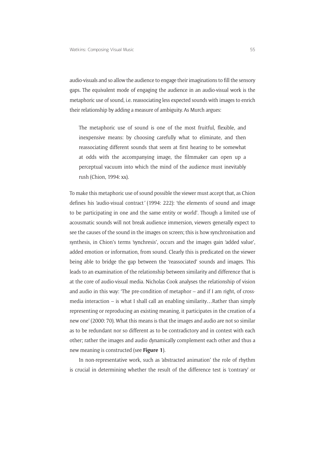audio-visuals and so allow the audience to engage their imaginations to fill the sensory gaps. The equivalent mode of engaging the audience in an audio-visual work is the metaphoric use of sound, i.e. reassociating less expected sounds with images to enrich their relationship by adding a measure of ambiguity. As Murch argues:

The metaphoric use of sound is one of the most fruitful, flexible, and inexpensive means: by choosing carefully what to eliminate, and then reassociating different sounds that seem at first hearing to be somewhat at odds with the accompanying image, the filmmaker can open up a perceptual vacuum into which the mind of the audience must inevitably rush (Chion, 1994: xx).

To make this metaphoric use of sound possible the viewer must accept that, as Chion defines his 'audio-visual contract*'* (1994: 222): 'the elements of sound and image to be participating in one and the same entity or world'. Though a limited use of acousmatic sounds will not break audience immersion, viewers generally expect to see the causes of the sound in the images on screen; this is how synchronisation and synthesis, in Chion's terms 'synchresis', occurs and the images gain 'added value', added emotion or information, from sound. Clearly this is predicated on the viewer being able to bridge the gap between the 'reassociated' sounds and images. This leads to an examination of the relationship between similarity and difference that is at the core of audio-visual media. Nicholas Cook analyses the relationship of vision and audio in this way: 'The pre-condition of metaphor – and if I am right, of crossmedia interaction – is what I shall call an enabling similarity…Rather than simply representing or reproducing an existing meaning, it participates in the creation of a new one' (2000: 70). What this means is that the images and audio are not so similar as to be redundant nor so different as to be contradictory and in contest with each other; rather the images and audio dynamically complement each other and thus a new meaning is constructed (see **Figure 1**).

In non-representative work, such as 'abstracted animation' the role of rhythm is crucial in determining whether the result of the difference test is 'contrary' or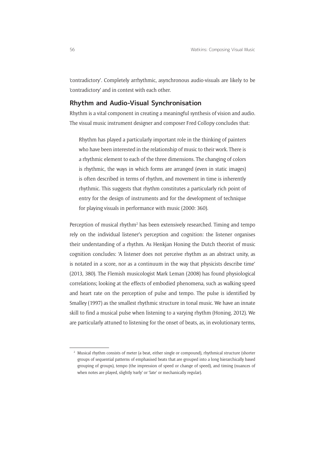'contradictory'. Completely arrhythmic, asynchronous audio-visuals are likely to be 'contradictory' and in contest with each other.

### **Rhythm and Audio-Visual Synchronisation**

Rhythm is a vital component in creating a meaningful synthesis of vision and audio. The visual music instrument designer and composer Fred Collopy concludes that:

Rhythm has played a particularly important role in the thinking of painters who have been interested in the relationship of music to their work. There is a rhythmic element to each of the three dimensions. The changing of colors is rhythmic, the ways in which forms are arranged (even in static images) is often described in terms of rhythm, and movement in time is inherently rhythmic. This suggests that rhythm constitutes a particularly rich point of entry for the design of instruments and for the development of technique for playing visuals in performance with music (2000: 360).

Perception of musical rhythm<sup>2</sup> has been extensively researched. Timing and tempo rely on the individual listener's perception and cognition: the listener organises their understanding of a rhythm. As Henkjan Honing the Dutch theorist of music cognition concludes: 'A listener does not perceive rhythm as an abstract unity, as is notated in a score, nor as a continuum in the way that physicists describe time' (2013, 380). The Flemish musicologist Mark Leman (2008) has found physiological correlations; looking at the effects of embodied phenomena, such as walking speed and heart rate on the perception of pulse and tempo. The pulse is identified by Smalley (1997) as the smallest rhythmic structure in tonal music. We have an innate skill to find a musical pulse when listening to a varying rhythm (Honing, 2012). We are particularly attuned to listening for the onset of beats, as, in evolutionary terms,

<sup>&</sup>lt;sup>2</sup> Musical rhythm consists of meter (a beat, either single or compound), rhythmical structure (shorter groups of sequential patterns of emphasised beats that are grouped into a long hierarchically based grouping of groups), tempo (the impression of speed or change of speed), and timing (nuances of when notes are played, slightly 'early' or 'late' or mechanically regular).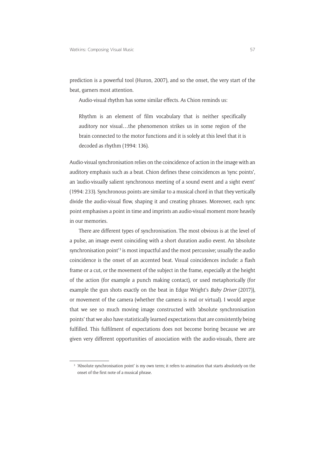prediction is a powerful tool (Huron, 2007), and so the onset, the very start of the beat, garners most attention.

Audio-visual rhythm has some similar effects. As Chion reminds us:

Rhythm is an element of film vocabulary that is neither specifically auditory nor visual…the phenomenon strikes us in some region of the brain connected to the motor functions and it is solely at this level that it is decoded as rhythm (1994: 136).

Audio-visual synchronisation relies on the coincidence of action in the image with an auditory emphasis such as a beat. Chion defines these coincidences as 'sync points', an 'audio-visually salient synchronous meeting of a sound event and a sight event' (1994: 233). Synchronous points are similar to a musical chord in that they vertically divide the audio-visual flow, shaping it and creating phrases. Moreover, each sync point emphasises a point in time and imprints an audio-visual moment more heavily in our memories.

There are different types of synchronisation. The most obvious is at the level of a pulse, an image event coinciding with a short duration audio event. An 'absolute synchronisation point<sup>'3</sup> is most impactful and the most percussive; usually the audio coincidence is the onset of an accented beat. Visual coincidences include: a flash frame or a cut, or the movement of the subject in the frame, especially at the height of the action (for example a punch making contact), or used metaphorically (for example the gun shots exactly on the beat in Edgar Wright's *Baby Driver* (2017)), or movement of the camera (whether the camera is real or virtual). I would argue that we see so much moving image constructed with 'absolute synchronisation points' that we also have statistically learned expectations that are consistently being fulfilled. This fulfilment of expectations does not become boring because we are given very different opportunities of association with the audio-visuals, there are

<sup>&</sup>lt;sup>3</sup> 'Absolute synchronisation point' is my own term; it refers to animation that starts absolutely on the onset of the first note of a musical phrase.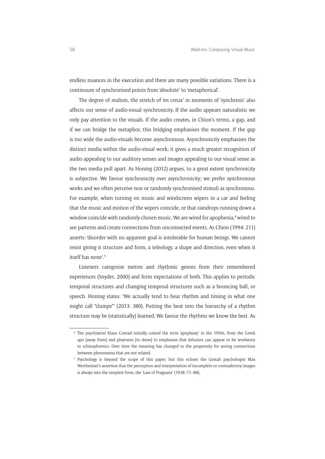endless nuances in the execution and there are many possible variations. There is a continuum of synchronised points from 'absolute' to 'metaphorical'.

The degree of realism, the stretch of 'en creux' in moments of 'synchresis' also affects our sense of audio-visual synchronicity. If the audio appears naturalistic we only pay attention to the visuals. If the audio creates, in Chion's terms, a gap, and if we can bridge the metaphor, this bridging emphasises the moment. If the gap is too wide the audio-visuals become asynchronous. Asynchronicity emphasises the distinct media within the audio-visual work; it gives a much greater recognition of audio appealing to our auditory senses and images appealing to our visual sense as the two media pull apart. As Honing (2012) argues, to a great extent synchronicity is subjective. We favour synchronicity over asynchronicity; we prefer synchronous works and we often perceive non or randomly synchronised stimuli as synchronous. For example, when turning on music and windscreen wipers in a car and feeling that the music and motion of the wipers coincide, or that raindrops running down a window coincide with randomly chosen music. We are wired for apophenia,<sup>4</sup> wired to see patterns and create connections from unconnected events. As Chion (1994: 211) asserts: 'disorder with no apparent goal is intolerable for human beings. We cannot resist giving it structure and form, a teleology, a shape and direction, even when it itself has none'.5

Listeners categorise metres and rhythmic genres from their remembered experiences (Snyder, 2000) and form expectations of both. This applies to periodic temporal structures and changing temporal structures such as a bouncing ball, or speech. Honing states: 'We actually tend to hear rhythm and timing in what one might call "clumps"' (2013: 380). Putting the beat into the hierarchy of a rhythm structure may be (statistically) learned. We favour the rhythms we know the best. As

<sup>4</sup> The psychiatrist Klaus Conrad initially coined the term 'apophany' in the 1950s, from the Greek apo [away from] and phaenein [to show] to emphasise that delusion can appear to be revelatory to schizophrenics. Over time the meaning has changed to the propensity for seeing connections between phenomena that are not related.

<sup>5</sup> Psychology is beyond the scope of this paper, but this echoes the Gestalt psychologist Max Wertheimer's assertion that the perception and interpretation of incomplete or contradictory images is always into the simplest form, the 'Law of Pragnanz' (1938: 71–88).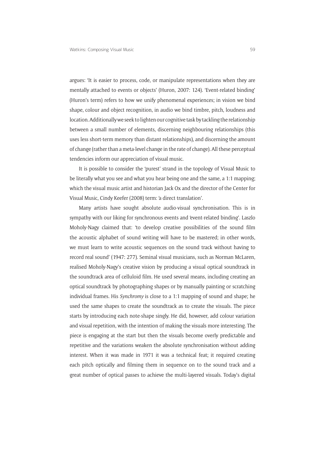argues: 'It is easier to process, code, or manipulate representations when they are mentally attached to events or objects' (Huron, 2007: 124). 'Event-related binding' (Huron's term) refers to how we unify phenomenal experiences; in vision we bind shape, colour and object recognition, in audio we bind timbre, pitch, loudness and location. Additionally we seek to lighten our cognitive task by tackling the relationship between a small number of elements, discerning neighbouring relationships (this uses less short-term memory than distant relationships), and discerning the amount of change (rather than a meta-level change in the rate of change). All these perceptual tendencies inform our appreciation of visual music.

It is possible to consider the 'purest' strand in the topology of Visual Music to be literally what you see and what you hear being one and the same, a 1:1 mapping; which the visual music artist and historian Jack Ox and the director of the Center for Visual Music, Cindy Keefer (2008) term: 'a direct translation'.

Many artists have sought absolute audio-visual synchronisation. This is in sympathy with our liking for synchronous events and 'event-related binding'. Laszlo Moholy-Nagy claimed that: 'to develop creative possibilities of the sound film the acoustic alphabet of sound writing will have to be mastered; in other words, we must learn to write acoustic sequences on the sound track without having to record real sound' (1947: 277). Seminal visual musicians, such as Norman McLaren, realised Moholy-Nagy's creative vision by producing a visual optical soundtrack in the soundtrack area of celluloid film. He used several means, including creating an optical soundtrack by photographing shapes or by manually painting or scratching individual frames. His *Synchromy* is close to a 1:1 mapping of sound and shape; he used the same shapes to create the soundtrack as to create the visuals. The piece starts by introducing each note-shape singly. He did, however, add colour variation and visual repetition, with the intention of making the visuals more interesting. The piece is engaging at the start but then the visuals become overly predictable and repetitive and the variations weaken the absolute synchronisation without adding interest. When it was made in 1971 it was a technical feat; it required creating each pitch optically and filming them in sequence on to the sound track and a great number of optical passes to achieve the multi-layered visuals. Today's digital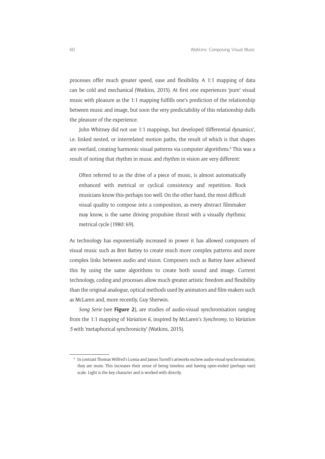processes offer much greater speed, ease and flexibility. A 1:1 mapping of data can be cold and mechanical (Watkins, 2015). At first one experiences 'pure' visual music with pleasure as the 1:1 mapping fulfills one's prediction of the relationship between music and image, but soon the very predictability of this relationship dulls the pleasure of the experience.

John Whitney did not use 1:1 mappings, but developed 'differential dynamics', i.e. linked nested, or interrelated motion paths, the result of which is that shapes are overlaid, creating harmonic visual patterns via computer algorithms.<sup>6</sup> This was a result of noting that rhythm in music and rhythm in vision are very different:

Often referred to as the drive of a piece of music, is almost automatically enhanced with metrical or cyclical consistency and repetition. Rock musicians know this-perhaps too well. On the other hand, the most difficult visual quality to compose into a composition, as every abstract filmmaker may know, is the same driving propulsive thrust with a visually rhythmic metrical cycle (1980: 69).

As technology has exponentially increased in power it has allowed composers of visual music such as Bret Battey to create much more complex patterns and more complex links between audio and vision. Composers such as Battey have achieved this by using the same algorithms to create both sound and image. Current technology, coding and processes allow much greater artistic freedom and flexibility than the original analogue, optical methods used by animators and film-makers such as McLaren and, more recently, Guy Sherwin.

*Song Serie* (see **Figure 2**), are studies of audio-visual synchronisation ranging from the 1:1 mapping of *Variation 6*, inspired by McLaren's *Synchromy*, to *Variation 5* with 'metaphorical synchronicity' (Watkins, 2015).

<sup>6</sup> In contrast Thomas Wilfred's Lumia and James Turrell's artworks eschew audio-visual synchronisation; they are mute. This increases their sense of being timeless and having open-ended (perhaps vast) scale. Light is the key character and is worked with directly.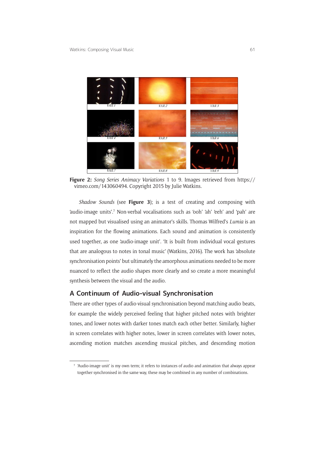

**Figure 2:** *Song Series Animacy Variations* 1 to 9. Images retrieved from [https://](https://vimeo.com/143060494) [vimeo.com/143060494.](https://vimeo.com/143060494) Copyright 2015 by Julie Watkins.

*Shadow Sounds* (see **Figure 3**); is a test of creating and composing with 'audio-image units'.7 Non-verbal vocalisations such as 'ooh' 'ah' 'eeh' and 'pah' are not mapped but visualised using an animator's skills. Thomas Wilfred's *Lumia* is an inspiration for the flowing animations. Each sound and animation is consistently used together, as one 'audio-image unit'. 'It is built from individual vocal gestures that are analogous to notes in tonal music' (Watkins, 2016). The work has 'absolute synchronisation points' but ultimately the amorphous animations needed to be more nuanced to reflect the audio shapes more clearly and so create a more meaningful synthesis between the visual and the audio.

### **A Continuum of Audio-visual Synchronisation**

There are other types of audio-visual synchronisation beyond matching audio beats, for example the widely perceived feeling that higher pitched notes with brighter tones, and lower notes with darker tones match each other better. Similarly, higher in screen correlates with higher notes, lower in screen correlates with lower notes, ascending motion matches ascending musical pitches, and descending motion

<sup>&#</sup>x27;Audio-image unit' is my own term; it refers to instances of audio and animation that always appear together synchronised in the same way, these may be combined in any number of combinations.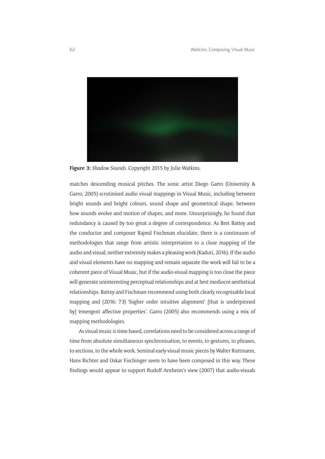

**Figure 3:** *Shadow Sounds*. Copyright 2015 by Julie Watkins.

matches descending musical pitches. The sonic artist Diego Garro (University & Garro, 2005) scrutinised audio visual mappings in Visual Music, including between bright sounds and bright colours, sound shape and geometrical shape, between how sounds evolve and motion of shapes, and more. Unsurprisingly, he found that redundancy is caused by too great a degree of correspondence. As Bret Battey and the conductor and composer Rajmil Fischman elucidate, there is a continuum of methodologies that range from artistic interpretation to a close mapping of the audio and visual; neither extremity makes a pleasing work (Kaduri, 2016). If the audio and visual elements have no mapping and remain separate the work will fail to be a coherent piece of Visual Music, but if the audio-visual mapping is too close the piece will generate uninteresting perceptual relationships and at best mediocre aesthetical relationships. Battey and Fischman recommend using both clearly recognisable local mapping and (2016: 73) 'higher order intuitive alignment' [that is underpinned by] 'emergent affective properties'. Garro (2005) also recommends using a mix of mapping methodologies.

As visual music is time-based, correlations need to be considered across a range of time from absolute simultaneous synchronisation, to events, to gestures, to phrases, to sections, to the whole work. Seminal early visual music pieces by Walter Ruttmann, Hans Richter and Oskar Fischinger seem to have been composed in this way. These findings would appear to support Rudolf Arnheim's view (2007) that audio-visuals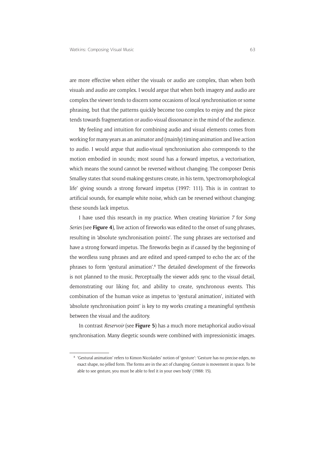are more effective when either the visuals or audio are complex, than when both visuals and audio are complex. I would argue that when both imagery and audio are complex the viewer tends to discern some occasions of local synchronisation or some phrasing, but that the patterns quickly become too complex to enjoy and the piece tends towards fragmentation or audio-visual dissonance in the mind of the audience.

My feeling and intuition for combining audio and visual elements comes from working for many years as an animator and (mainly) timing animation and live action to audio. I would argue that audio-visual synchronisation also corresponds to the motion embodied in sounds; most sound has a forward impetus, a vectorisation, which means the sound cannot be reversed without changing. The composer Denis Smalley states that sound-making gestures create, in his term, 'spectromorphological life' giving sounds a strong forward impetus (1997: 111). This is in contrast to artificial sounds, for example white noise, which can be reversed without changing; these sounds lack impetus.

I have used this research in my practice. When creating *Variation 7* for *Song Series* (see **Figure 4**), live action of fireworks was edited to the onset of sung phrases, resulting in 'absolute synchronisation points'. The sung phrases are vectorised and have a strong forward impetus. The fireworks begin as if caused by the beginning of the wordless sung phrases and are edited and speed-ramped to echo the arc of the phrases to form 'gestural animation'.<sup>8</sup> The detailed development of the fireworks is not planned to the music. Perceptually the viewer adds sync to the visual detail, demonstrating our liking for, and ability to create, synchronous events. This combination of the human voice as impetus to 'gestural animation', initiated with 'absolute synchronisation point' is key to my works creating a meaningful synthesis between the visual and the auditory.

In contrast *Reservoir* (see **Figure 5**) has a much more metaphorical audio-visual synchronisation. Many diegetic sounds were combined with impressionistic images.

<sup>8</sup> 'Gestural animation' refers to Kimon Nicolaides' notion of 'gesture': 'Gesture has no precise edges, no exact shape, no jelled form. The forms are in the act of changing. Gesture is movement in space. To be able to see gesture, you must be able to feel it in your own body' (1988: 15).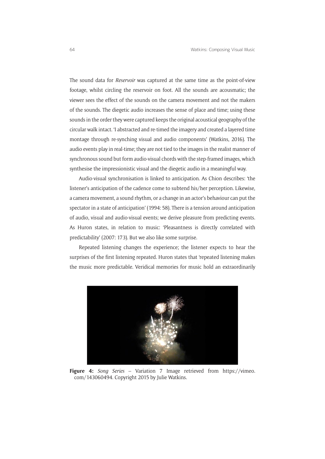The sound data for *Reservoir* was captured at the same time as the point-of-view footage, whilst circling the reservoir on foot. All the sounds are acousmatic; the viewer sees the effect of the sounds on the camera movement and not the makers of the sounds. The diegetic audio increases the sense of place and time; using these sounds in the order they were captured keeps the original acoustical geography of the circular walk intact. 'I abstracted and re-timed the imagery and created a layered time montage through re-synching visual and audio components' (Watkins, 2016). The audio events play in real-time; they are not tied to the images in the realist manner of synchronous sound but form audio-visual chords with the step-framed images, which synthesise the impressionistic visual and the diegetic audio in a meaningful way.

Audio-visual synchronisation is linked to anticipation. As Chion describes: 'the listener's anticipation of the cadence come to subtend his/her perception. Likewise, a camera movement, a sound rhythm, or a change in an actor's behaviour can put the spectator in a state of anticipation' (1994: 58). There is a tension around anticipation of audio, visual and audio-visual events; we derive pleasure from predicting events. As Huron states, in relation to music: 'Pleasantness is directly correlated with predictability' (2007: 173). But we also like some surprise.

Repeated listening changes the experience; the listener expects to hear the surprises of the first listening repeated. Huron states that 'repeated listening makes the music more predictable. Veridical memories for music hold an extraordinarily



**Figure 4:** *Song Series* – Variation 7 Image retrieved from [https://vimeo.](https://vimeo.com/143060494) [com/143060494.](https://vimeo.com/143060494) Copyright 2015 by Julie Watkins.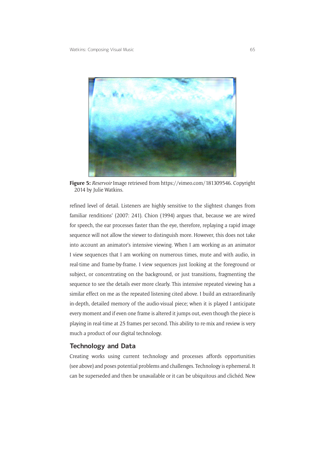

**Figure 5:** *Reservoir* Image retrieved from [https://vimeo.com/181309546.](https://vimeo.com/181309546) Copyright 2014 by Julie Watkins.

refined level of detail. Listeners are highly sensitive to the slightest changes from familiar renditions' (2007: 241). Chion (1994) argues that, because we are wired for speech, the ear processes faster than the eye, therefore, replaying a rapid image sequence will not allow the viewer to distinguish more. However, this does not take into account an animator's intensive viewing. When I am working as an animator I view sequences that I am working on numerous times, mute and with audio, in real-time and frame-by-frame. I view sequences just looking at the foreground or subject, or concentrating on the background, or just transitions, fragmenting the sequence to see the details ever more clearly. This intensive repeated viewing has a similar effect on me as the repeated listening cited above. I build an extraordinarily in-depth, detailed memory of the audio-visual piece; when it is played I anticipate every moment and if even one frame is altered it jumps out, even though the piece is playing in real-time at 25 frames per second. This ability to re-mix and review is very much a product of our digital technology.

### **Technology and Data**

Creating works using current technology and processes affords opportunities (see above) and poses potential problems and challenges. Technology is ephemeral. It can be superseded and then be unavailable or it can be ubiquitous and clichéd. New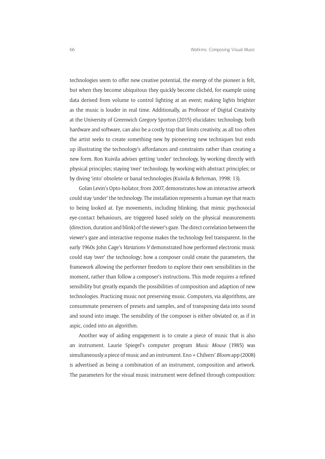technologies seem to offer new creative potential, the energy of the pioneer is felt, but when they become ubiquitous they quickly become clichéd, for example using data derived from volume to control lighting at an event; making lights brighter as the music is louder in real time. Additionally, as Professor of Digital Creativity at the University of Greenwich Gregory Sporton (2015) elucidates: technology, both hardware and software, can also be a costly trap that limits creativity, as all too often the artist seeks to create something new by pioneering new techniques but ends up illustrating the technology's affordances and constraints rather than creating a new form. Ron Kuivila advises getting 'under' technology, by working directly with physical principles; staying 'over' technology, by working with abstract principles; or by diving 'into' obsolete or banal technologies (Kuivila & Behrman, 1998: 13).

Golan Levin's Opto-Isolator, from 2007, demonstrates how an interactive artwork could stay 'under' the technology. The installation represents a human eye that reacts to being looked at. Eye movements, including blinking, that mimic psychosocial eye-contact behaviours, are triggered based solely on the physical measurements (direction, duration and blink) of the viewer's gaze. The direct correlation between the viewer's gaze and interactive response makes the technology feel transparent. In the early 1960s John Cage's *Variations V* demonstrated how performed electronic music could stay 'over' the technology; how a composer could create the parameters, the framework allowing the performer freedom to explore their own sensibilities in the moment, rather than follow a composer's instructions. This mode requires a refined sensibility but greatly expands the possibilities of composition and adaption of new technologies. Practicing music not preserving music. Computers, via algorithms, are consummate preservers of presets and samples, and of transposing data into sound and sound into image. The sensibility of the composer is either obviated or, as if in aspic, coded into an algorithm.

Another way of aiding engagement is to create a piece of music that is also an instrument. Laurie Spiegel's computer program *Music Mouse* (1985) was simultaneously a piece of music and an instrument. Eno + Chilvers' *Bloom* app (2008) is advertised as being a combination of an instrument, composition and artwork. The parameters for the visual music instrument were defined through composition: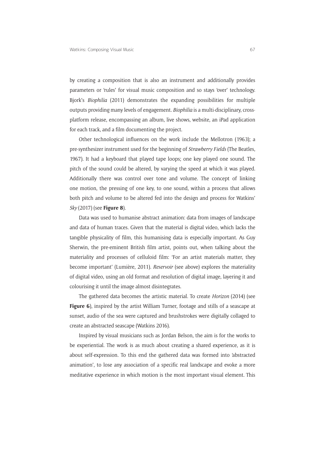by creating a composition that is also an instrument and additionally provides parameters or 'rules' for visual music composition and so stays 'over' technology. Bjork's *Biophilia* (2011) demonstrates the expanding possibilities for multiple outputs providing many levels of engagement. *Biophilia* is a multi-disciplinary, crossplatform release, encompassing an album, live shows, website, an iPad application for each track, and a film documenting the project.

Other technological influences on the work include the Mellotron (1963); a pre-synthesizer instrument used for the beginning of *Strawberry Fields* (The Beatles, 1967). It had a keyboard that played tape loops; one key played one sound. The pitch of the sound could be altered, by varying the speed at which it was played. Additionally there was control over tone and volume. The concept of linking one motion, the pressing of one key, to one sound, within a process that allows both pitch and volume to be altered fed into the design and process for Watkins' *Sky* (2017) (see **Figure 8**).

Data was used to humanise abstract animation: data from images of landscape and data of human traces. Given that the material is digital video, which lacks the tangible physicality of film, this humanising data is especially important. As Guy Sherwin, the pre-eminent British film artist, points out, when talking about the materiality and processes of celluloid film: 'For an artist materials matter, they become important' (Lumière, 2011). *Reservoir* (see above) explores the materiality of digital video, using an old format and resolution of digital image, layering it and colourising it until the image almost disintegrates.

The gathered data becomes the artistic material. To create *Horizon* (2014) (see **Figure 6**), inspired by the artist William Turner, footage and stills of a seascape at sunset, audio of the sea were captured and brushstrokes were digitally collaged to create an abstracted seascape (Watkins 2016).

Inspired by visual musicians such as Jordan Belson, the aim is for the works to be experiential. The work is as much about creating a shared experience, as it is about self-expression. To this end the gathered data was formed into 'abstracted animation', to lose any association of a specific real landscape and evoke a more meditative experience in which motion is the most important visual element. This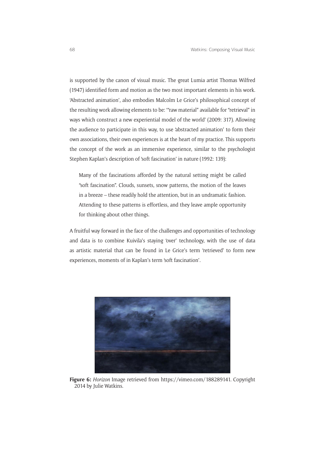is supported by the canon of visual music. The great Lumia artist Thomas Wilfred (1947) identified form and motion as the two most important elements in his work. 'Abstracted animation', also embodies Malcolm Le Grice's philosophical concept of the resulting work allowing elements to be: '"raw material" available for "retrieval" in ways which construct a new experiential model of the world' (2009: 317). Allowing the audience to participate in this way, to use 'abstracted animation' to form their own associations, their own experiences is at the heart of my practice. This supports the concept of the work as an immersive experience, similar to the psychologist Stephen Kaplan's description of 'soft fascination' in nature (1992: 139):

Many of the fascinations afforded by the natural setting might be called "soft fascination". Clouds, sunsets, snow patterns, the motion of the leaves in a breeze – these readily hold the attention, but in an undramatic fashion. Attending to these patterns is effortless, and they leave ample opportunity for thinking about other things.

A fruitful way forward in the face of the challenges and opportunities of technology and data is to combine Kuivila's staying 'over' technology, with the use of data as artistic material that can be found in Le Grice's term 'retrieved' to form new experiences, moments of in Kaplan's term 'soft fascination'.



**Figure 6:** *Horizon* Image retrieved from <https://vimeo.com/188289141>. Copyright 2014 by Julie Watkins.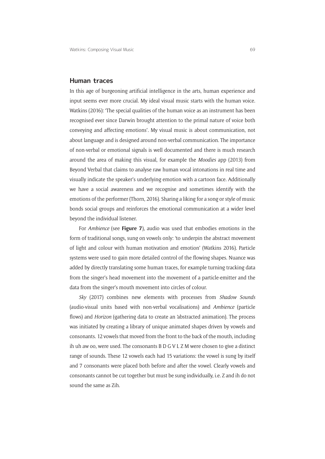### **Human traces**

In this age of burgeoning artificial intelligence in the arts, human experience and input seems ever more crucial. My ideal visual music starts with the human voice. Watkins (2016): 'The special qualities of the human voice as an instrument has been recognised ever since Darwin brought attention to the primal nature of voice both conveying and affecting emotions'. My visual music is about communication, not about language and is designed around non-verbal communication. The importance of non-verbal or emotional signals is well documented and there is much research around the area of making this visual, for example the *Moodies* app (2013) from Beyond Verbal that claims to analyse raw human vocal intonations in real time and visually indicate the speaker's underlying emotion with a cartoon face. Additionally we have a social awareness and we recognise and sometimes identify with the emotions of the performer (Thorn, 2016). Sharing a liking for a song or style of music bonds social groups and reinforces the emotional communication at a wider level beyond the individual listener.

For *Ambience* (see **Figure 7**), audio was used that embodies emotions in the form of traditional songs, sung on vowels only: 'to underpin the abstract movement of light and colour with human motivation and emotion' (Watkins 2016). Particle systems were used to gain more detailed control of the flowing shapes. Nuance was added by directly translating some human traces, for example turning tracking data from the singer's head movement into the movement of a particle-emitter and the data from the singer's mouth movement into circles of colour.

*Sky* (2017) combines new elements with processes from *Shadow Sounds* (audio-visual units based with non-verbal vocalisations) and *Ambience* (particle flows) and *Horizon* (gathering data to create an 'abstracted animation). The process was initiated by creating a library of unique animated shapes driven by vowels and consonants. 12 vowels that moved from the front to the back of the mouth, including ih uh aw oo, were used. The consonants B D G V L Z M were chosen to give a distinct range of sounds. These 12 vowels each had 15 variations: the vowel is sung by itself and 7 consonants were placed both before and after the vowel. Clearly vowels and consonants cannot be cut together but must be sung individually, i.e. Z and ih do not sound the same as Zih.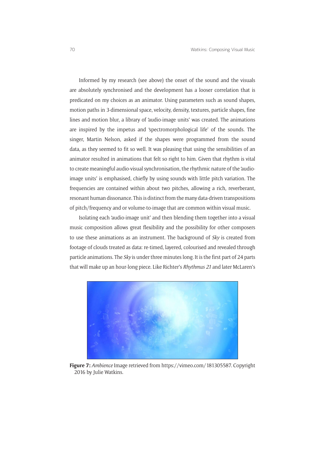Informed by my research (see above) the onset of the sound and the visuals are absolutely synchronised and the development has a looser correlation that is predicated on my choices as an animator. Using parameters such as sound shapes, motion paths in 3-dimensional space, velocity, density, textures, particle shapes, fine lines and motion blur, a library of 'audio-image units' was created. The animations are inspired by the impetus and 'spectromorphological life' of the sounds. The singer, Martin Nelson, asked if the shapes were programmed from the sound data, as they seemed to fit so well. It was pleasing that using the sensibilities of an animator resulted in animations that felt so right to him. Given that rhythm is vital to create meaningful audio-visual synchronisation, the rhythmic nature of the 'audioimage units' is emphasised, chiefly by using sounds with little pitch variation. The frequencies are contained within about two pitches, allowing a rich, reverberant, resonant human dissonance. This is distinct from the many data-driven transpositions of pitch/frequency and or volume-to-image that are common within visual music.

Isolating each 'audio-image unit' and then blending them together into a visual music composition allows great flexibility and the possibility for other composers to use these animations as an instrument. The background of *Sky* is created from footage of clouds treated as data: re-timed, layered, colourised and revealed through particle animations. The *Sky* is under three minutes long. It is the first part of 24 parts that will make up an hour-long piece. Like Richter's *Rhythmus 21* and later McLaren's



**Figure 7:** *Ambience* Image retrieved from<https://vimeo.com/181305587>. Copyright 2016 by Julie Watkins.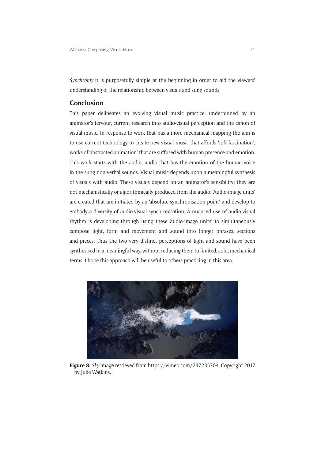*Synchromy* it is purposefully simple at the beginning in order to aid the viewers' understanding of the relationship between visuals and sung sounds.

### **Conclusion**

This paper delineates an evolving visual music practice, underpinned by an animator's fervour, current research into audio-visual perception and the canon of visual music. In response to work that has a more mechanical mapping the aim is to use current technology to create new visual music that affords 'soft fascination'; works of 'abstracted animation' that are suffused with human presence and emotion. This work starts with the audio, audio that has the emotion of the human voice in the sung non-verbal sounds. Visual music depends upon a meaningful synthesis of visuals with audio. These visuals depend on an animator's sensibility; they are not mechanistically or algorithmically produced from the audio. 'Audio-image units' are created that are initiated by an 'absolute synchronisation point' and develop to embody a diversity of audio-visual synchronisation. A nuanced use of audio-visual rhythm is developing through using these 'audio-image units' to simultaneously compose light, form and movement and sound into longer phrases, sections and pieces. Thus the two very distinct perceptions of light and sound have been synthesised in a meaningful way, without reducing them to limited, cold, mechanical terms. I hope this approach will be useful to others practicing in this area.



**Figure 8:** *Sky* Image retrieved from [https://vimeo.com/237235704.](https://vimeo.com/237235704) Copyright 2017 by Julie Watkins.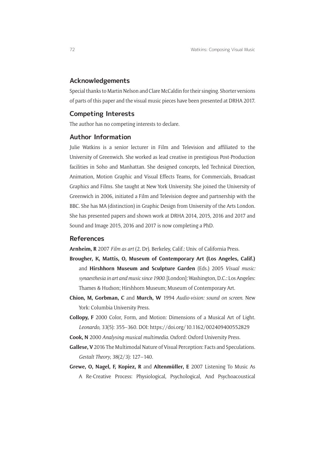### **Acknowledgements**

Special thanks to Martin Nelson and Clare McCaldin for their singing. Shorter versions of parts of this paper and the visual music pieces have been presented at DRHA 2017.

### **Competing Interests**

The author has no competing interests to declare.

### **Author Information**

Julie Watkins is a senior lecturer in Film and Television and affiliated to the University of Greenwich. She worked as lead creative in prestigious Post-Production facilities in Soho and Manhattan. She designed concepts, led Technical Direction, Animation, Motion Graphic and Visual Effects Teams, for Commercials, Broadcast Graphics and Films. She taught at New York University. She joined the University of Greenwich in 2006, initiated a Film and Television degree and partnership with the BBC. She has MA (distinction) in Graphic Design from University of the Arts London. She has presented papers and shown work at DRHA 2014, 2015, 2016 and 2017 and Sound and Image 2015, 2016 and 2017 is now completing a PhD.

### **References**

**Arnheim, R** 2007 *Film as art* (2. Dr). Berkeley, Calif.: Univ. of California Press.

- **Brougher, K, Mattis, O, Museum of Contemporary Art (Los Angeles, Calif.)** and **Hirshhorn Museum and Sculpture Garden** (Eds.) 2005 *Visual music: synaesthesia in art and music since 1900*. [London]: Washington, D.C.: Los Angeles: Thames & Hudson; Hirshhorn Museum; Museum of Contemporary Art.
- **Chion, M, Gorbman, C** and **Murch, W** 1994 *Audio-vision: sound on screen*. New York: Columbia University Press.
- **Collopy, F** 2000 Color, Form, and Motion: Dimensions of a Musical Art of Light. *Leonardo*, 33(5): 355–360. DOI: <https://doi.org/10.1162/002409400552829>
- **Cook, N** 2000 *Analysing musical multimedia*. Oxford: Oxford University Press.
- **Gallese, V** 2016 The Multimodal Nature of Visual Perception: Facts and Speculations. *Gestalt Theory*, 38(2/3): 127–140.
- **Grewe, O, Nagel, F, Kopiez, R** and **Altenmüller, E** 2007 Listening To Music As A Re-Creative Process: Physiological, Psychological, And Psychoacoustical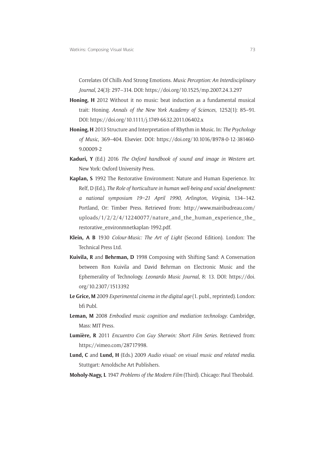Correlates Of Chills And Strong Emotions. *Music Perception: An Interdisciplinary Journal*, 24(3): 297–314. DOI: <https://doi.org/10.1525/mp.2007.24.3.297>

- **Honing, H** 2012 Without it no music: beat induction as a fundamental musical trait: Honing. *Annals of the New York Academy of Sciences*, 1252(1): 85–91. DOI:<https://doi.org/10.1111/j.1749-6632.2011.06402.x>
- **Honing, H** 2013 Structure and Interpretation of Rhythm in Music. In: *The Psychology of Music*, 369–404. Elsevier. DOI: [https://doi.org/10.1016/B978-0-12-381460-](https://doi.org/10.1016/B978-0-12-381460-9.00009-2) [9.00009-2](https://doi.org/10.1016/B978-0-12-381460-9.00009-2)
- **Kaduri, Y** (Ed.) 2016 *The Oxford handbook of sound and image in Western art*. New York: Oxford University Press.
- **Kaplan, S** 1992 The Restorative Environment: Nature and Human Experience. In: Relf, D (Ed.), *The Role of horticulture in human well-being and social development: a national symposium 19–21 April 1990*, *Arlington*, *Virginia*, 134–142. Portland, Or: Timber Press. Retrieved from: [http://www.mairibudreau.com/](http://www.mairibudreau.com/uploads/1/2/2/4/12240077/nature_and_the_human_experience_the_restorative_environmnetkaplan-1992.pdf) uploads/ $1/2/2/4/12240077/n$ ature and the human experience the [restorative\\_environmnetkaplan-1992.pdf.](http://www.mairibudreau.com/uploads/1/2/2/4/12240077/nature_and_the_human_experience_the_restorative_environmnetkaplan-1992.pdf)
- **Klein, A B** 1930 *Colour-Music: The Art of Light* (Second Edition). London: The Technical Press Ltd.
- **Kuivila, R** and **Behrman, D** 1998 Composing with Shifting Sand: A Conversation between Ron Kuivila and David Behrman on Electronic Music and the Ephemerality of Technology. *Leonardo Music Journal*, 8: 13. DOI: [https://doi.](https://doi.org/10.2307/1513392) [org/10.2307/1513392](https://doi.org/10.2307/1513392)
- **Le Grice, M** 2009 *Experimental cinema in the digital age* (1. publ., reprinted). London: bfi Publ.
- **Leman, M** 2008 *Embodied music cognition and mediation technology*. Cambridge, Mass: MIT Press.
- **Lumière, R** 2011 *Encuentro Con Guy Sherwin: Short Film Series*. Retrieved from: <https://vimeo.com/28717998>.
- **Lund, C** and **Lund, H** (Eds.) 2009 *Audio visual: on visual music and related media*. Stuttgart: Arnoldsche Art Publishers.
- **Moholy-Nagy, L** 1947 *Problems of the Modern Film* (Third). Chicago: Paul Theobald.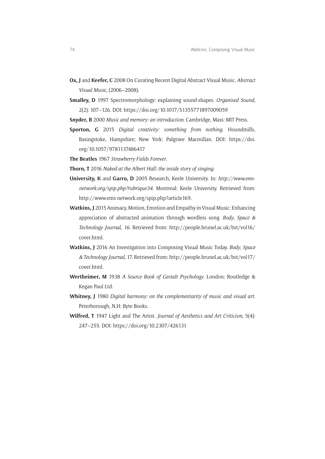- **Ox, J** and **Keefer, C** 2008 On Curating Recent Digital Abstract Visual Music. *Abstract Visual Music*, (2006–2008).
- **Smalley, D** 1997 Spectromorphology: explaining sound-shapes. *Organised Sound*, 2(2): 107–126. DOI: <https://doi.org/10.1017/S1355771897009059>
- **Snyder, B** 2000 *Music and memory: an introduction*. Cambridge, Mass: MIT Press.
- **Sporton, G** 2015 *Digital creativity: something from nothing*. Houndmills, Basingstoke, Hampshire; New York: Palgrave Macmillan. DOI: [https://doi.](https://doi.org/10.1057/9781137486417) [org/10.1057/9781137486417](https://doi.org/10.1057/9781137486417)
- **The Beatles** 1967 *Strawberry Fields Forever*.
- **Thorn, T** 2016 *Naked at the Albert Hall: the inside story of singing*.
- **University, K** and **Garro, D** 2005 Research, Keele University. In: *[http://www.ems](http://www.ems-network.org/spip.php?rubrique34)[network.org/spip.php?rubrique34](http://www.ems-network.org/spip.php?rubrique34)*. Montreal: Keele University. Retrieved from: <http://www.ems-network.org/spip.php?article169>.
- **Watkins, J** 2015 Animacy, Motion, Emotion and Empathy in Visual Music: Enhancing appreciation of abstracted animation through wordless song. *Body*, *Space & Technology Journal*, *16*. Retrieved from: [http://people.brunel.ac.uk/bst/vol16/](http://people.brunel.ac.uk/bst/vol16/cover.html) [cover.html.](http://people.brunel.ac.uk/bst/vol16/cover.html)
- **Watkins, J** 2016 An Investigation into Composing Visual Music Today. *Body*, *Space & Technology Journal*, 17. Retrieved from: [http://people.brunel.ac.uk/bst/vol17/](http://people.brunel.ac.uk/bst/vol17/cover.html) [cover.html.](http://people.brunel.ac.uk/bst/vol17/cover.html)
- **Wertheimer, M** 1938 *A Source Book of Gestalt Psychology*. London: Routledge & Kegan Paul Ltd.
- **Whitney, J** 1980 *Digital harmony: on the complementarity of music and visual art*. Peterborough, N.H: Byte Books.
- **Wilfred, T** 1947 Light and The Artist. *Journal of Aesthetics and Art Criticism*, 5(4): 247–255. DOI: <https://doi.org/10.2307/426131>